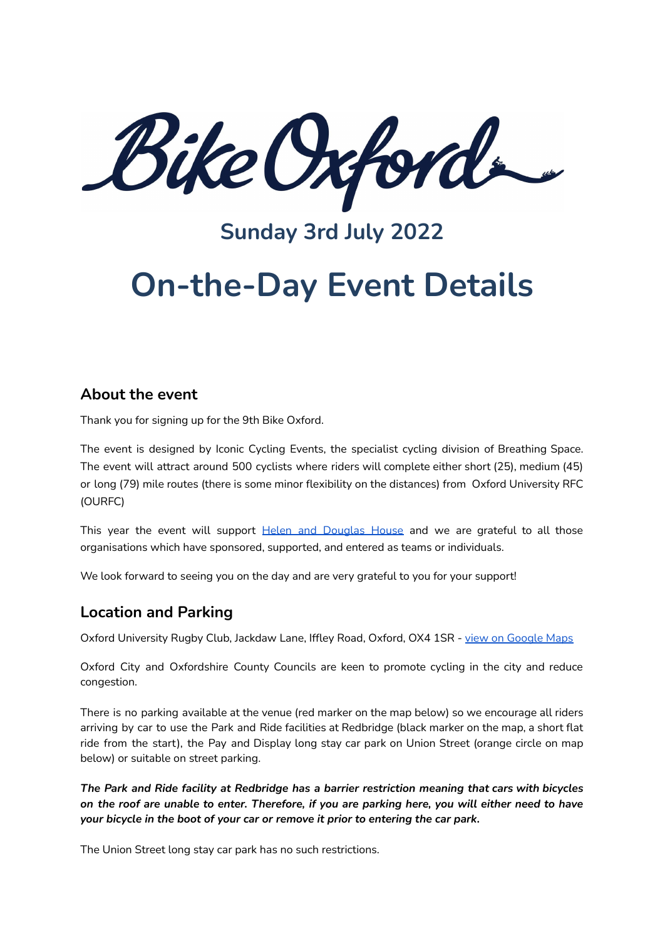kike Oxford

# **Sunday 3rd July 2022**

# **On-the-Day Event Details**

#### **About the event**

Thank you for signing up for the 9th Bike Oxford.

The event is designed by Iconic Cycling Events, the specialist cycling division of Breathing Space. The event will attract around 500 cyclists where riders will complete either short (25), medium (45) or long (79) mile routes (there is some minor flexibility on the distances) from Oxford University RFC (OURFC)

This year the event will support Helen and [Douglas](https://www.helenanddouglas.org.uk/) House and we are grateful to all those organisations which have sponsored, supported, and entered as teams or individuals.

We look forward to seeing you on the day and are very grateful to you for your support!

#### **Location and Parking**

Oxford University Rugby Club, Jackdaw Lane, Iffley Road, Oxford, OX4 1SR - view on [Google](https://www.google.co.uk/maps/place/Oxford+University+Rugby+Football+Club/@51.7445092,-1.2435204,18z/data=!4m5!3m4!1s0x4876c14b05afd96b:0xa01fc5c98b2d666d!8m2!3d51.7445823!4d-1.242528) Maps

Oxford City and Oxfordshire County Councils are keen to promote cycling in the city and reduce congestion.

There is no parking available at the venue (red marker on the map below) so we encourage all riders arriving by car to use the Park and Ride facilities at Redbridge (black marker on the map, a short flat ride from the start), the Pay and Display long stay car park on Union Street (orange circle on map below) or suitable on street parking.

*The Park and Ride facility at Redbridge has a barrier restriction meaning that cars with bicycles* on the roof are unable to enter. Therefore, if you are parking here, you will either need to have *your bicycle in the boot of your car or remove it prior to entering the car park.*

The Union Street long stay car park has no such restrictions.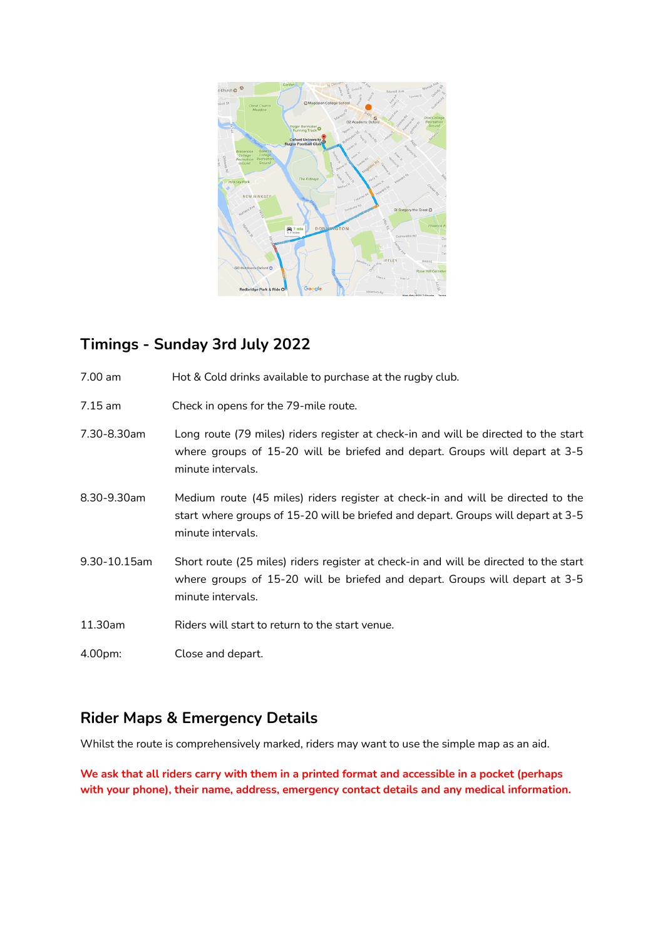

## **Timings - Sunday 3rd July 2022**

- 7.00 am Hot & Cold drinks available to purchase at the rugby club.
- 7.15 am Check in opens for the 79-mile route.
- 7.30-8.30am Long route (79 miles) riders register at check-in and will be directed to the start where groups of 15-20 will be briefed and depart. Groups will depart at 3-5 minute intervals.
- 8.30-9.30am Medium route (45 miles) riders register at check-in and will be directed to the start where groups of 15-20 will be briefed and depart. Groups will depart at 3-5 minute intervals.
- 9.30-10.15am Short route (25 miles) riders register at check-in and will be directed to the start where groups of 15-20 will be briefed and depart. Groups will depart at 3-5 minute intervals.
- 11.30am Riders will start to return to the start venue.
- 4.00pm: Close and depart.

#### **Rider Maps & Emergency Details**

Whilst the route is comprehensively marked, riders may want to use the simple map as an aid.

**We ask that all riders carry with them in a printed format and accessible in a pocket (perhaps with your phone), their name, address, emergency contact details and any medical information.**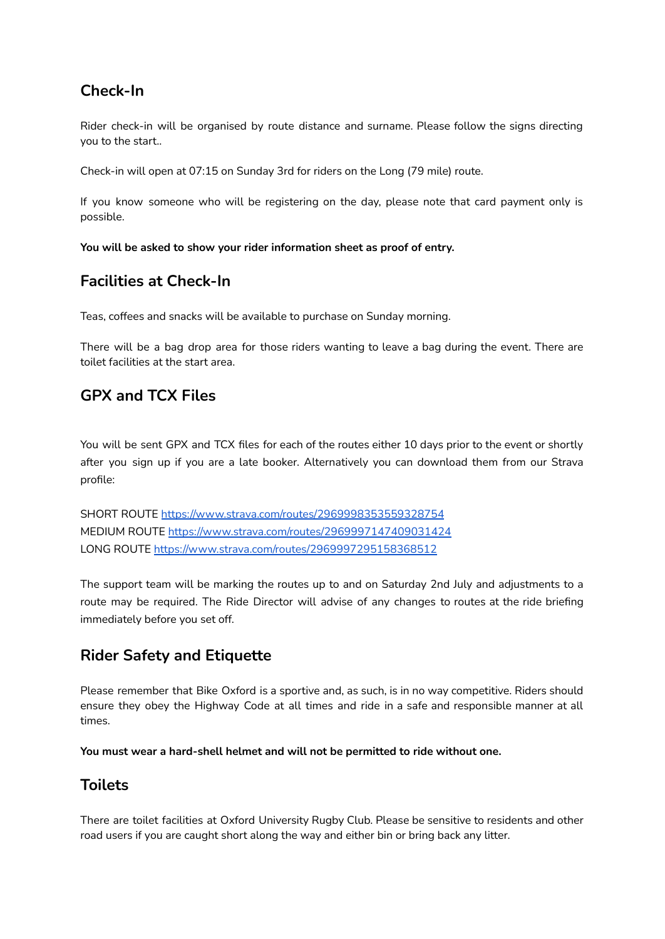## **Check-In**

Rider check-in will be organised by route distance and surname. Please follow the signs directing you to the start..

Check-in will open at 07:15 on Sunday 3rd for riders on the Long (79 mile) route.

If you know someone who will be registering on the day, please note that card payment only is possible.

**You will be asked to show your rider information sheet as proof of entry.**

## **Facilities at Check-In**

Teas, coffees and snacks will be available to purchase on Sunday morning.

There will be a bag drop area for those riders wanting to leave a bag during the event. There are toilet facilities at the start area.

## **GPX and TCX Files**

You will be sent GPX and TCX files for each of the routes either 10 days prior to the event or shortly after you sign up if you are a late booker. Alternatively you can download them from our Strava profile:

SHORT ROUTE <https://www.strava.com/routes/2969998353559328754> MEDIUM ROUTE <https://www.strava.com/routes/2969997147409031424> LONG ROUTE <https://www.strava.com/routes/2969997295158368512>

The support team will be marking the routes up to and on Saturday 2nd July and adjustments to a route may be required. The Ride Director will advise of any changes to routes at the ride briefing immediately before you set off.

## **Rider Safety and Etiquette**

Please remember that Bike Oxford is a sportive and, as such, is in no way competitive. Riders should ensure they obey the Highway Code at all times and ride in a safe and responsible manner at all times.

**You must wear a hard-shell helmet and will not be permitted to ride without one.**

#### **Toilets**

There are toilet facilities at Oxford University Rugby Club. Please be sensitive to residents and other road users if you are caught short along the way and either bin or bring back any litter.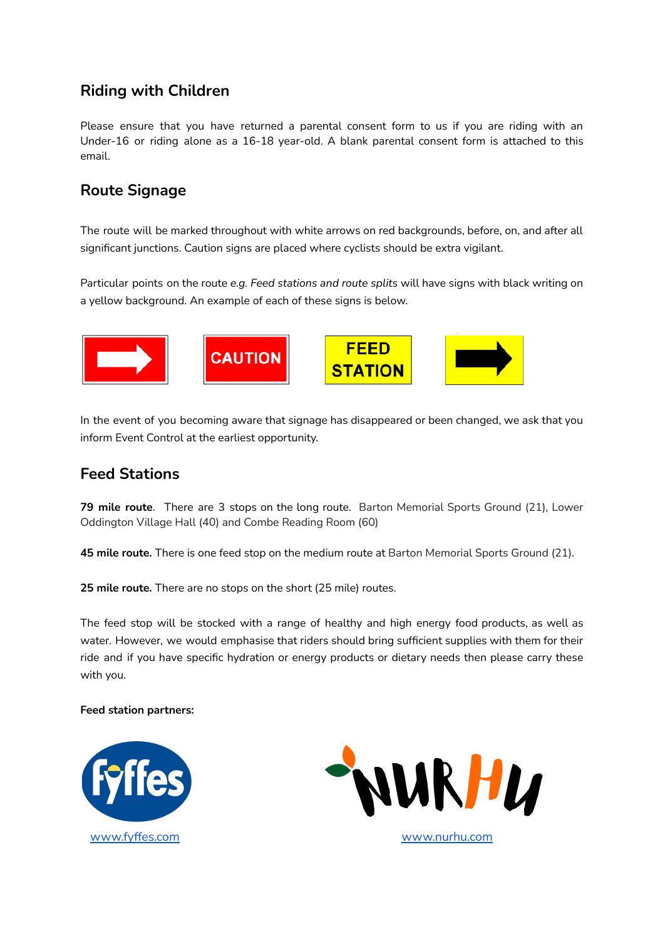#### **Riding with Children**

Please ensure that you have returned a parental consent form to us if you are riding with an Under-16 or riding alone as a 16-18 year-old. A blank parental consent form is attached to this email.

#### **Route Signage**

The route will be marked throughout with white arrows on red backgrounds, before, on, and after all significant junctions. Caution signs are placed where cyclists should be extra vigilant.

Particular points on the route *e.g. Feed stations and route splits* will have signs with black writing on a yellow background. An example of each of these signs is below.



In the event of you becoming aware that signage has disappeared or been changed, we ask that you inform Event Control at the earliest opportunity.

#### **Feed Stations**

**79 mile route**. There are 3 stops on the long route. Barton Memorial Sports Ground (21), Lower Oddington Village Hall (40) and Combe Reading Room (60)

**45 mile route.** There is one feed stop on the medium route at Barton Memorial Sports Ground (21).

**25 mile route.** There are no stops on the short (25 mile) routes.

The feed stop will be stocked with a range of healthy and high energy food products, as well as water. However, we would emphasise that riders should bring sufficient supplies with them for their ride and if you have specific hydration or energy products or dietary needs then please carry these with you.

#### **Feed station partners:**



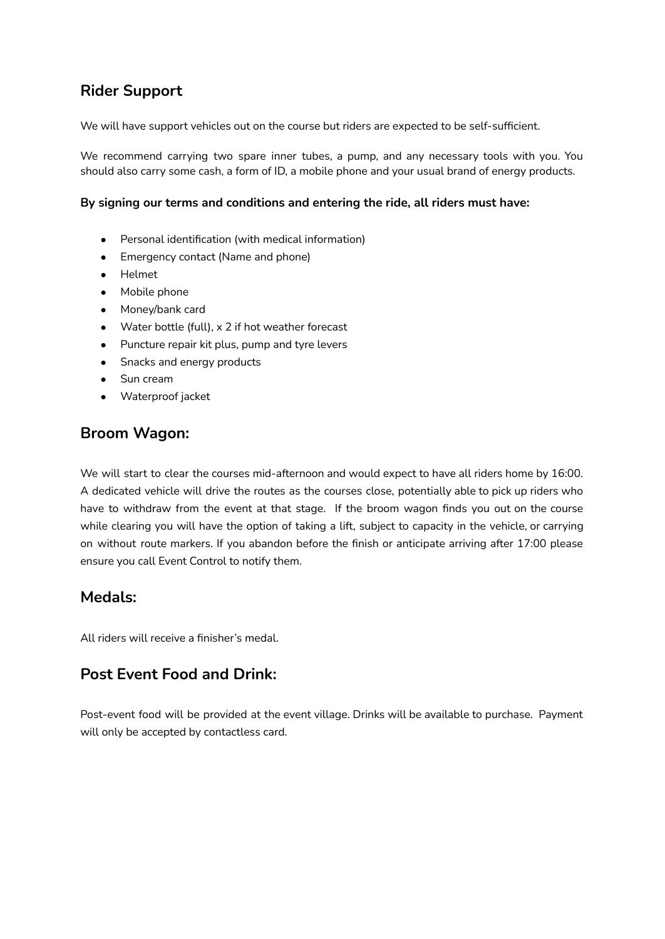## **Rider Support**

We will have support vehicles out on the course but riders are expected to be self-sufficient.

We recommend carrying two spare inner tubes, a pump, and any necessary tools with you. You should also carry some cash, a form of ID, a mobile phone and your usual brand of energy products.

#### **By signing our terms and conditions and entering the ride, all riders must have:**

- Personal identification (with medical information)
- Emergency contact (Name and phone)
- Helmet
- Mobile phone
- Money/bank card
- Water bottle (full), x 2 if hot weather forecast
- Puncture repair kit plus, pump and tyre levers
- Snacks and energy products
- Sun cream
- Waterproof jacket

#### **Broom Wagon:**

We will start to clear the courses mid-afternoon and would expect to have all riders home by 16:00. A dedicated vehicle will drive the routes as the courses close, potentially able to pick up riders who have to withdraw from the event at that stage. If the broom wagon finds you out on the course while clearing you will have the option of taking a lift, subject to capacity in the vehicle, or carrying on without route markers. If you abandon before the finish or anticipate arriving after 17:00 please ensure you call Event Control to notify them.

#### **Medals:**

All riders will receive a finisher's medal.

#### **Post Event Food and Drink:**

Post-event food will be provided at the event village. Drinks will be available to purchase. Payment will only be accepted by contactless card.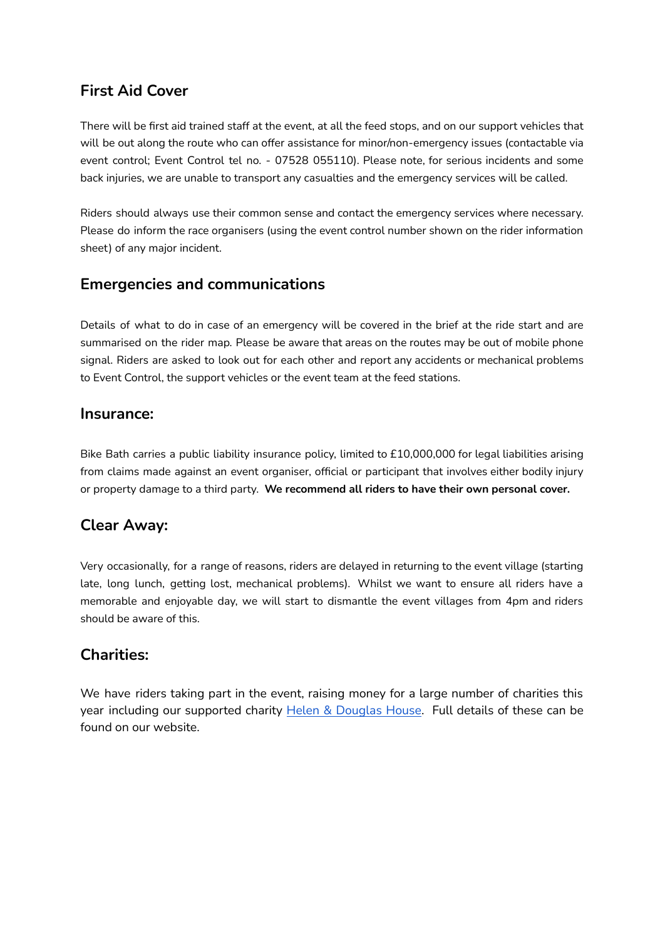## **First Aid Cover**

There will be first aid trained staff at the event, at all the feed stops, and on our support vehicles that will be out along the route who can offer assistance for minor/non-emergency issues (contactable via event control; Event Control tel no. - 07528 055110). Please note, for serious incidents and some back injuries, we are unable to transport any casualties and the emergency services will be called.

Riders should always use their common sense and contact the emergency services where necessary. Please do inform the race organisers (using the event control number shown on the rider information sheet) of any major incident.

## **Emergencies and communications**

Details of what to do in case of an emergency will be covered in the brief at the ride start and are summarised on the rider map. Please be aware that areas on the routes may be out of mobile phone signal. Riders are asked to look out for each other and report any accidents or mechanical problems to Event Control, the support vehicles or the event team at the feed stations.

#### **Insurance:**

Bike Bath carries a public liability insurance policy, limited to £10,000,000 for legal liabilities arising from claims made against an event organiser, official or participant that involves either bodily injury or property damage to a third party. **We recommend all riders to have their own personal cover.**

## **Clear Away:**

Very occasionally, for a range of reasons, riders are delayed in returning to the event village (starting late, long lunch, getting lost, mechanical problems). Whilst we want to ensure all riders have a memorable and enjoyable day, we will start to dismantle the event villages from 4pm and riders should be aware of this.

#### **Charities:**

We have riders taking part in the event, raising money for a large number of charities this year including our supported charity Helen & [Douglas](https://www.helenanddouglas.org.uk/) House. Full details of these can be found on our website.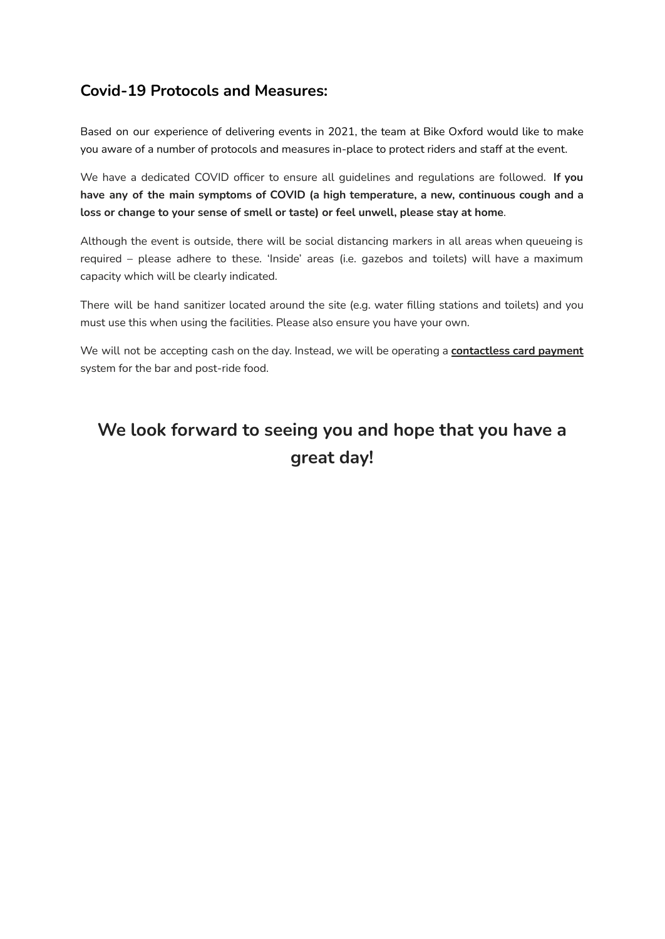#### **Covid-19 Protocols and Measures:**

Based on our experience of delivering events in 2021, the team at Bike Oxford would like to make you aware of a number of protocols and measures in-place to protect riders and staff at the event.

We have a dedicated COVID officer to ensure all guidelines and regulations are followed. **If you have any of the main symptoms of COVID (a high temperature, a new, continuous cough and a loss or change to your sense of smell or taste) or feel unwell, please stay at home**.

Although the event is outside, there will be social distancing markers in all areas when queueing is required – please adhere to these. 'Inside' areas (i.e. gazebos and toilets) will have a maximum capacity which will be clearly indicated.

There will be hand sanitizer located around the site (e.g. water filling stations and toilets) and you must use this when using the facilities. Please also ensure you have your own.

We will not be accepting cash on the day. Instead, we will be operating a **contactless card payment** system for the bar and post-ride food.

# **We look forward to seeing you and hope that you have a great day!**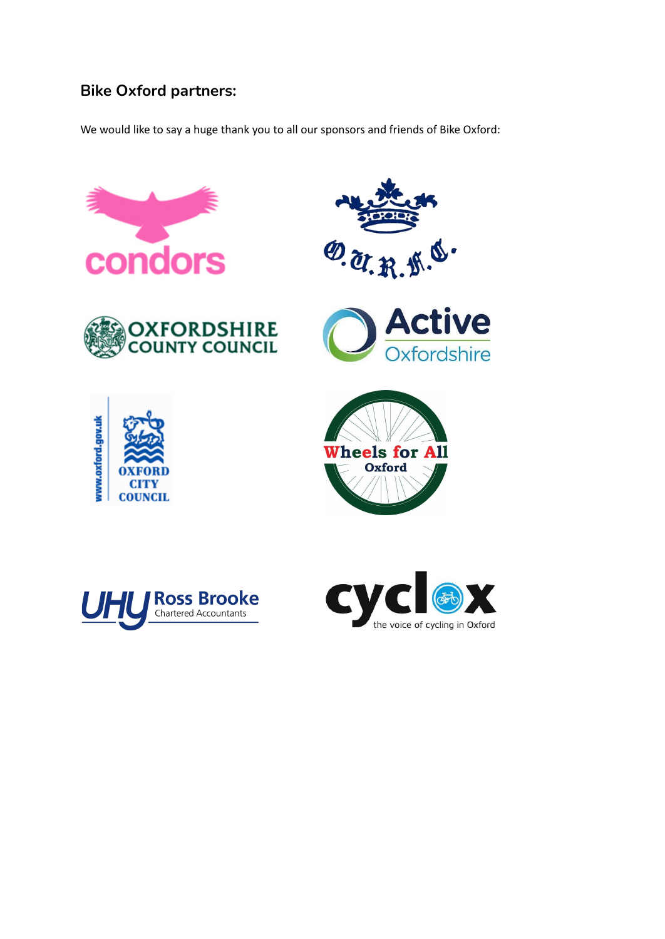## **Bike Oxford partners:**

We would like to say a huge thank you to all our sponsors and friends of Bike Oxford: